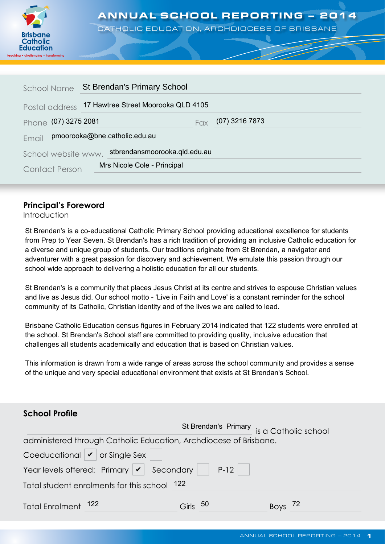

# ANNUAL SCHOOL REPORTING – 2014

CATHOLIC EDUCATION, ARCHDIOCESE OF BRISBANE

| <b>School Name</b>                                   |                       | <b>St Brendan's Primary School</b>  |
|------------------------------------------------------|-----------------------|-------------------------------------|
|                                                      | Postal address        | 17 Hawtree Street Moorooka QLD 4105 |
|                                                      | Phone (07) 3275 2081  | $(07)$ 3216 7873<br>Fax.            |
| Email                                                |                       | pmoorooka@bne.catholic.edu.au       |
| stbrendansmoorooka.qld.edu.au<br>School website www. |                       |                                     |
|                                                      | <b>Contact Person</b> | Mrs Nicole Cole - Principal         |

## **Principal's Foreword**

Introduction

St Brendan's is a co-educational Catholic Primary School providing educational excellence for students from Prep to Year Seven. St Brendan's has a rich tradition of providing an inclusive Catholic education for a diverse and unique group of students. Our traditions originate from St Brendan, a navigator and adventurer with a great passion for discovery and achievement. We emulate this passion through our school wide approach to delivering a holistic education for all our students.

St Brendan's is a community that places Jesus Christ at its centre and strives to espouse Christian values and live as Jesus did. Our school motto - 'Live in Faith and Love' is a constant reminder for the school community of its Catholic, Christian identity and of the lives we are called to lead.

Brisbane Catholic Education census figures in February 2014 indicated that 122 students were enrolled at the school. St Brendan's School staff are committed to providing quality, inclusive education that challenges all students academically and education that is based on Christian values.

This information is drawn from a wide range of areas across the school community and provides a sense of the unique and very special educational environment that exists at St Brendan's School.

## **School Profile**

|                                                  |                                                                      | St Brendan's Primary is a Catholic school |
|--------------------------------------------------|----------------------------------------------------------------------|-------------------------------------------|
|                                                  | administered through Catholic Education, Archdiocese of Brisbane.    |                                           |
| Coeducational $\vert\bm{\nu}\vert$ or Single Sex |                                                                      |                                           |
|                                                  | Year levels offered: Primary $\vert \checkmark \vert$ Secondary P-12 |                                           |
| Total student enrolments for this school 122     |                                                                      |                                           |
| Total Enrolment 122                              | 50                                                                   | <b>BOYS</b>                               |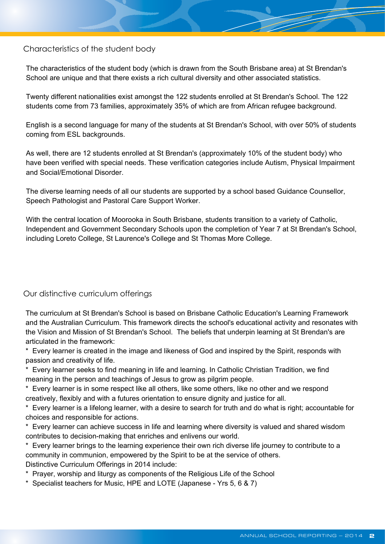Characteristics of the student body

The characteristics of the student body (which is drawn from the South Brisbane area) at St Brendan's School are unique and that there exists a rich cultural diversity and other associated statistics.

Twenty different nationalities exist amongst the 122 students enrolled at St Brendan's School. The 122 students come from 73 families, approximately 35% of which are from African refugee background.

English is a second language for many of the students at St Brendan's School, with over 50% of students coming from ESL backgrounds.

As well, there are 12 students enrolled at St Brendan's (approximately 10% of the student body) who have been verified with special needs. These verification categories include Autism, Physical Impairment and Social/Emotional Disorder.

The diverse learning needs of all our students are supported by a school based Guidance Counsellor, Speech Pathologist and Pastoral Care Support Worker.

With the central location of Moorooka in South Brisbane, students transition to a variety of Catholic, Independent and Government Secondary Schools upon the completion of Year 7 at St Brendan's School, including Loreto College, St Laurence's College and St Thomas More College.

### Our distinctive curriculum offerings

The curriculum at St Brendan's School is based on Brisbane Catholic Education's Learning Framework and the Australian Curriculum. This framework directs the school's educational activity and resonates with the Vision and Mission of St Brendan's School. The beliefs that underpin learning at St Brendan's are articulated in the framework:

\* Every learner is created in the image and likeness of God and inspired by the Spirit, responds with passion and creativity of life.

\* Every learner seeks to find meaning in life and learning. In Catholic Christian Tradition, we find meaning in the person and teachings of Jesus to grow as pilgrim people.

\* Every learner is in some respect like all others, like some others, like no other and we respond creatively, flexibly and with a futures orientation to ensure dignity and justice for all.

\* Every learner is a lifelong learner, with a desire to search for truth and do what is right; accountable for choices and responsible for actions.

\* Every learner can achieve success in life and learning where diversity is valued and shared wisdom contributes to decision-making that enriches and enlivens our world.

\* Every learner brings to the learning experience their own rich diverse life journey to contribute to a community in communion, empowered by the Spirit to be at the service of others. Distinctive Curriculum Offerings in 2014 include:

- \* Prayer, worship and liturgy as components of the Religious Life of the School
- \* Specialist teachers for Music, HPE and LOTE (Japanese Yrs 5, 6 & 7)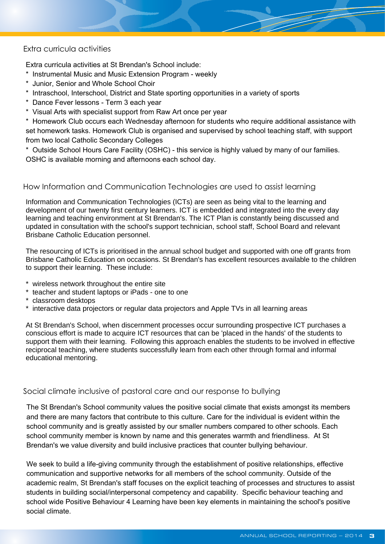#### Extra curricula activities

Extra curricula activities at St Brendan's School include:

- \* Instrumental Music and Music Extension Program weekly
- \* Junior, Senior and Whole School Choir
- \* Intraschool, Interschool, District and State sporting opportunities in a variety of sports
- \* Dance Fever lessons Term 3 each year
- \* Visual Arts with specialist support from Raw Art once per year

\* Homework Club occurs each Wednesday afternoon for students who require additional assistance with set homework tasks. Homework Club is organised and supervised by school teaching staff, with support from two local Catholic Secondary Colleges

\* Outside School Hours Care Facility (OSHC) - this service is highly valued by many of our families. OSHC is available morning and afternoons each school day.

#### How Information and Communication Technologies are used to assist learning

Information and Communication Technologies (ICTs) are seen as being vital to the learning and development of our twenty first century learners. ICT is embedded and integrated into the every day learning and teaching environment at St Brendan's. The ICT Plan is constantly being discussed and updated in consultation with the school's support technician, school staff, School Board and relevant Brisbane Catholic Education personnel.

The resourcing of ICTs is prioritised in the annual school budget and supported with one off grants from Brisbane Catholic Education on occasions. St Brendan's has excellent resources available to the children to support their learning. These include:

- \* wireless network throughout the entire site
- \* teacher and student laptops or iPads one to one
- \* classroom desktops
- \* interactive data projectors or regular data projectors and Apple TVs in all learning areas

At St Brendan's School, when discernment processes occur surrounding prospective ICT purchases a conscious effort is made to acquire ICT resources that can be 'placed in the hands' of the students to support them with their learning. Following this approach enables the students to be involved in effective reciprocal teaching, where students successfully learn from each other through formal and informal educational mentoring.

#### Social climate inclusive of pastoral care and our response to bullying

The St Brendan's School community values the positive social climate that exists amongst its members and there are many factors that contribute to this culture. Care for the individual is evident within the school community and is greatly assisted by our smaller numbers compared to other schools. Each school community member is known by name and this generates warmth and friendliness. At St Brendan's we value diversity and build inclusive practices that counter bullying behaviour.

We seek to build a life-giving community through the establishment of positive relationships, effective communication and supportive networks for all members of the school community. Outside of the academic realm, St Brendan's staff focuses on the explicit teaching of processes and structures to assist students in building social/interpersonal competency and capability. Specific behaviour teaching and school wide Positive Behaviour 4 Learning have been key elements in maintaining the school's positive social climate.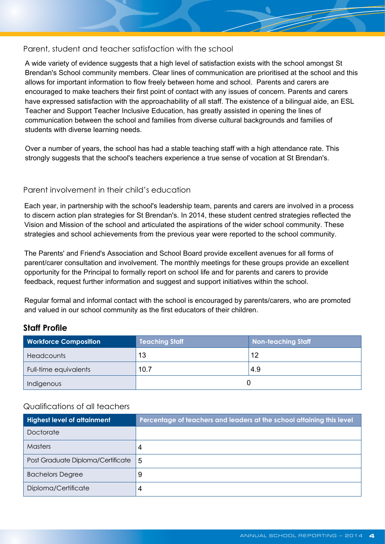#### Parent, student and teacher satisfaction with the school

A wide variety of evidence suggests that a high level of satisfaction exists with the school amongst St Brendan's School community members. Clear lines of communication are prioritised at the school and this allows for important information to flow freely between home and school. Parents and carers are encouraged to make teachers their first point of contact with any issues of concern. Parents and carers have expressed satisfaction with the approachability of all staff. The existence of a bilingual aide, an ESL Teacher and Support Teacher Inclusive Education, has greatly assisted in opening the lines of communication between the school and families from diverse cultural backgrounds and families of students with diverse learning needs.

Over a number of years, the school has had a stable teaching staff with a high attendance rate. This strongly suggests that the school's teachers experience a true sense of vocation at St Brendan's.

#### Parent involvement in their child's education

Each year, in partnership with the school's leadership team, parents and carers are involved in a process to discern action plan strategies for St Brendan's. In 2014, these student centred strategies reflected the Vision and Mission of the school and articulated the aspirations of the wider school community. These strategies and school achievements from the previous year were reported to the school community.

The Parents' and Friend's Association and School Board provide excellent avenues for all forms of parent/carer consultation and involvement. The monthly meetings for these groups provide an excellent opportunity for the Principal to formally report on school life and for parents and carers to provide feedback, request further information and suggest and support initiatives within the school.

Regular formal and informal contact with the school is encouraged by parents/carers, who are promoted and valued in our school community as the first educators of their children.

### **Staff Profile**

| <b>Workforce Composition</b> | Teaching Staff | Non-teaching Staff |
|------------------------------|----------------|--------------------|
| <b>Headcounts</b>            | 13             | 12                 |
| Full-time equivalents        | 10.7           | 4.9                |
| Indigenous                   |                |                    |

### Qualifications of all teachers

| <b>Highest level of attainment</b> | Percentage of teachers and leaders at the school attaining this level |
|------------------------------------|-----------------------------------------------------------------------|
| Doctorate                          |                                                                       |
| <b>Masters</b>                     | 4                                                                     |
| Post Graduate Diploma/Certificate  | 5                                                                     |
| <b>Bachelors Degree</b>            | 9                                                                     |
| Diploma/Certificate                | 4                                                                     |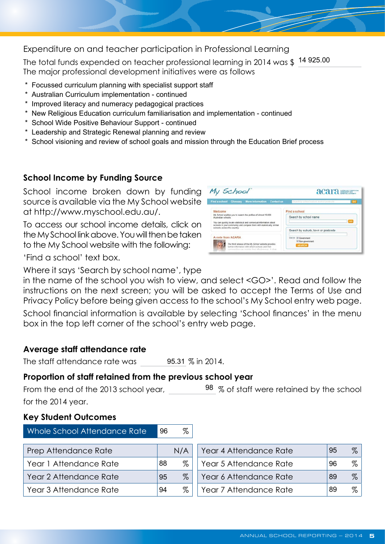Expenditure on and teacher participation in Professional Learning

The total funds expended on teacher professional learning in 2014 was \$114 925.00<br>The major professional development initiatives were as follows

- \* Focussed curriculum planning with specialist support staff
- \* Australian Curriculum implementation continued
- \* Improved literacy and numeracy pedagogical practices
- \* New Religious Education curriculum familiarisation and implementation continued
- \* School Wide Positive Behaviour Support continued
- \* Leadership and Strategic Renewal planning and review
- \* School visioning and review of school goals and mission through the Education Brief process

## **School Income by Funding Source**

School income broken down by funding source is available via the My School website at<http://www.myschool.edu.au/>.

To access our school income details, click on the My School link above. You will then be taken to the My School website with the following:

| ly School                                                                                                                                                        | acara                                                |  |  |
|------------------------------------------------------------------------------------------------------------------------------------------------------------------|------------------------------------------------------|--|--|
| Find a school Glossary More information<br><b>Contact us</b>                                                                                                     | Example by infrast suburb town of postession<br>l oo |  |  |
| Welcome                                                                                                                                                          | Find a school                                        |  |  |
| My School enables you to search the profiles of almost 10,000.<br>Australian schools.                                                                            | Search by school name                                |  |  |
| You can quickly locate statistical and contextual information about<br>schools in your community and compare them with statistically similar                     | 00                                                   |  |  |
| schools across the country.                                                                                                                                      | Search by suburb, town or postcode                   |  |  |
| A note from ACARA                                                                                                                                                | Sector M Government                                  |  |  |
| The third release of the My School website provides<br>further information with which schools and their<br>communities can monitor their affectivenings. A clear | V. Non-government<br><b>SEARCH</b>                   |  |  |

'Find a school' text box.

Where it says 'Search by school name', type

in the name of the school you wish to view, and select <GO>'. Read and follow the instructions on the next screen; you will be asked to accept the Terms of Use and Privacy Policy before being given access to the school's My School entry web page.

School financial information is available by selecting 'School finances' in the menu box in the top left corner of the school's entry web page.

## **Average staff attendance rate**

The staff attendance rate was 95.31 % in 2014.

## **Proportion of staff retained from the previous school year**

From the end of the 2013 school year, for the 2014 year. 98 % of staff were retained by the school

### **Key Student Outcomes**

| Whole School Attendance Rate | 96 | $\%$ |                        |    |      |
|------------------------------|----|------|------------------------|----|------|
| Prep Attendance Rate         |    | N/A  | Year 4 Attendance Rate | 95 | $\%$ |
| Year 1 Attendance Rate       | 88 | %    | Year 5 Attendance Rate | 96 | $\%$ |
| Year 2 Attendance Rate       | 95 | $\%$ | Year 6 Attendance Rate | 89 | $\%$ |
| Year 3 Attendance Rate       | 94 | $\%$ | Year 7 Attendance Rate | 89 | $\%$ |